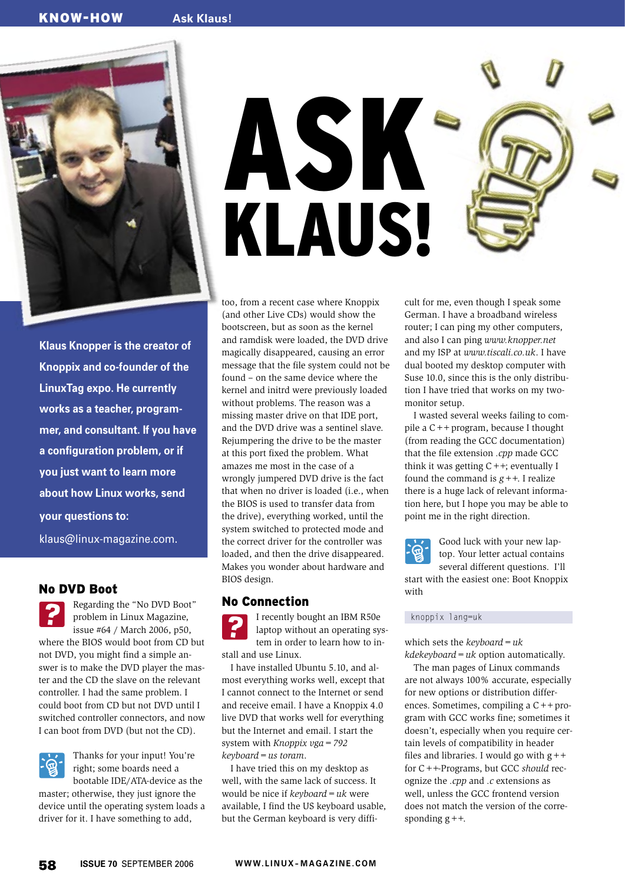

**Klaus Knopper is the creator of Knoppix and co-founder of the LinuxTag expo. He currently works as a teacher, programmer, and consultant. If you have a configuration problem, or if you just want to learn more about how Linux works, send your questions to:** klaus@linux-magazine. com.

## No DVD Boot

Regarding the "No DVD Boot" problem in Linux Magazine, issue #64 / March 2006, p50, where the BIOS would boot from CD but not DVD, you might find a simple answer is to make the DVD player the master and the CD the slave on the relevant controller. I had the same problem. I could boot from CD but not DVD until I switched controller connectors, and now I can boot from DVD (but not the CD).



Thanks for your input! You're right; some boards need a bootable IDE/ATA-device as the

master; otherwise, they just ignore the device until the operating system loads a driver for it. I have something to add,

ASK KLAUS!

too, from a recent case where Knoppix (and other Live CDs) would show the bootscreen, but as soon as the kernel and ramdisk were loaded, the DVD drive magically disappeared, causing an error message that the file system could not be found – on the same device where the kernel and initrd were previously loaded without problems. The reason was a missing master drive on that IDE port, and the DVD drive was a sentinel slave. Rejumpering the drive to be the master at this port fixed the problem. What amazes me most in the case of a wrongly jumpered DVD drive is the fact that when no driver is loaded (i.e., when the BIOS is used to transfer data from the drive), everything worked, until the system switched to protected mode and the correct driver for the controller was loaded, and then the drive disappeared. Makes you wonder about hardware and BIOS design.

#### No Connection

I recently bought an IBM R50e laptop without an operating system in order to learn how to install and use Linux.

I have installed Ubuntu 5.10, and almost everything works well, except that I cannot connect to the Internet or send and receive email. I have a Knoppix 4.0 live DVD that works well for everything but the Internet and email. I start the system with *Knoppix vga=792 keyboard=us toram*.

I have tried this on my desktop as well, with the same lack of success. It would be nice if *keyboard=uk* were available, I find the US keyboard usable, but the German keyboard is very difficult for me, even though I speak some German. I have a broadband wireless router; I can ping my other computers, and also I can ping *www.knopper.net* and my ISP at *www.tiscali.co.uk*. I have dual booted my desktop computer with Suse 10.0, since this is the only distribution I have tried that works on my twomonitor setup.

I wasted several weeks failing to compile a C++ program, because I thought (from reading the GCC documentation) that the file extension *.cpp* made GCC think it was getting  $C++$ ; eventually I found the command is *g++*. I realize there is a huge lack of relevant information here, but I hope you may be able to point me in the right direction.



with

Good luck with your new laptop. Your letter actual contains several different questions.I'll start with the easiest one: Boot Knoppix

knoppix lang=uk

which sets the *keyboard=uk kdekeyboard=uk* option automatically.

The man pages of Linux commands are not always 100% accurate, especially for new options or distribution differences. Sometimes, compiling a C++ program with GCC works fine; sometimes it doesn't, especially when you require certain levels of compatibility in header files and libraries. I would go with  $g++$ for C++-Programs, but GCC *should* recognize the *.cpp* and *.c* extensions as well, unless the GCC frontend version does not match the version of the corresponding  $g++$ .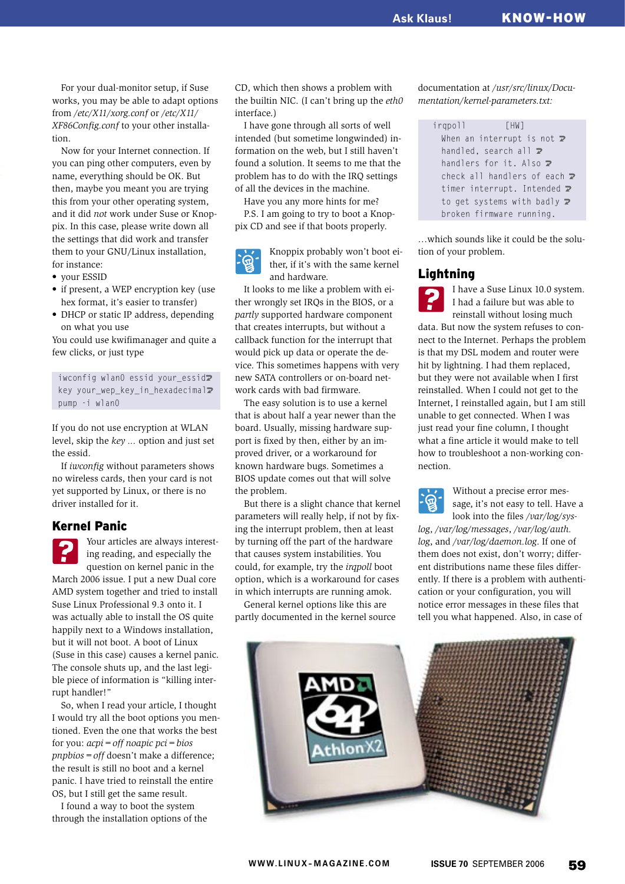For your dual-monitor setup, if Suse works, you may be able to adapt options from */etc/X11/xorg.conf* or */etc/X11/ XF86Config.conf* to your other installation.

Now for your Internet connection. If you can ping other computers, even by name, everything should be OK. But then, maybe you meant you are trying this from your other operating system, and it did *not* work under Suse or Knoppix. In this case, please write down all the settings that did work and transfer them to your GNU/Linux installation, for instance:

- your ESSID
- if present, a WEP encryption key (use hex format, it's easier to transfer)
- DHCP or static IP address, depending on what you use

You could use kwifimanager and quite a few clicks, or just type

iwconfig wlan0 essid your essid<sup>2</sup> key your\_wep\_key\_in\_hexadecimal2 pump -i wlan0

If you do not use encryption at WLAN level, skip the *key ...* option and just set the essid.

If *iwconfig* without parameters shows no wireless cards, then your card is not yet supported by Linux, or there is no driver installed for it.

# Kernel Panic

Your articles are always interesting reading, and especially the question on kernel panic in the March 2006 issue. I put a new Dual core AMD system together and tried to install Suse Linux Professional 9.3 onto it. I was actually able to install the OS quite happily next to a Windows installation, but it will not boot. A boot of Linux (Suse in this case) causes a kernel panic. The console shuts up, and the last legible piece of information is "killing interrupt handler!"

So, when I read your article, I thought I would try all the boot options you mentioned. Even the one that works the best for you: *acpi=off noapic pci=bios pnpbios=off* doesn't make a difference; the result is still no boot and a kernel panic. I have tried to reinstall the entire OS, but I still get the same result.

I found a way to boot the system through the installation options of the CD, which then shows a problem with the builtin NIC. (I can't bring up the *eth0* interface.)

I have gone through all sorts of well intended (but sometime longwinded) information on the web, but I still haven't found a solution. It seems to me that the problem has to do with the IRQ settings of all the devices in the machine.

Have you any more hints for me?

P.S. I am going to try to boot a Knoppix CD and see if that boots properly.



Knoppix probably won't boot either, if it's with the same kernel and hardware.

It looks to me like a problem with either wrongly set IRQs in the BIOS, or a *partly* supported hardware component that creates interrupts, but without a callback function for the interrupt that would pick up data or operate the device. This sometimes happens with very new SATA controllers or on-board network cards with bad firmware.

The easy solution is to use a kernel that is about half a year newer than the board. Usually, missing hardware support is fixed by then, either by an improved driver, or a workaround for known hardware bugs. Sometimes a BIOS update comes out that will solve the problem.

But there is a slight chance that kernel parameters will really help, if not by fixing the interrupt problem, then at least by turning off the part of the hardware that causes system instabilities. You could, for example, try the *irqpoll* boot option, which is a workaround for cases in which interrupts are running amok.

General kernel options like this are partly documented in the kernel source documentation at */usr/src/linux/Documentation/kernel-parameters.txt:*

 irqpoll [HW] When an interrupt is not  $\overline{z}$ handled, search all  $\overline{z}$ handlers for it. Also  $\overline{z}$ check all handlers of each  $\triangleright$ timer interrupt. Intended  $\triangledown$ to get systems with badly  $\mathbf{z}$ broken firmware running.

…which sounds like it could be the solution of your problem.

### **Lightning**



I have a Suse Linux 10.0 system. I had a failure but was able to reinstall without losing much

data. But now the system refuses to connect to the Internet. Perhaps the problem is that my DSL modem and router were hit by lightning. I had them replaced, but they were not available when I first reinstalled. When I could not get to the Internet, I reinstalled again, but I am still unable to get connected. When I was just read your fine column, I thought what a fine article it would make to tell how to troubleshoot a non-working connection.



Without a precise error message, it's not easy to tell. Have a look into the files */var/log/sys-*

*log*, */var/log/messages*, */var/log/auth. log*, and */var/log/daemon.log*. If one of them does not exist, don't worry; different distributions name these files differently. If there is a problem with authentication or your configuration, you will notice error messages in these files that tell you what happened. Also, in case of